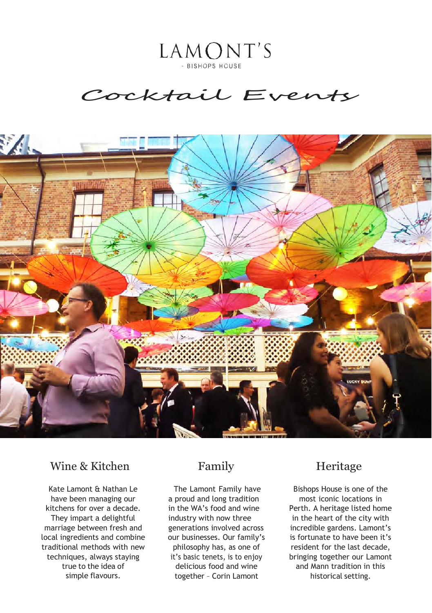LAMONT'S - BISHOPS HOUSE

# Cocktail Events



# Wine & Kitchen Family Heritage

Kate Lamont & Nathan Le have been managing our kitchens for over a decade. They impart a delightful marriage between fresh and local ingredients and combine traditional methods with new techniques, always staying true to the idea of simple flavours.

The Lamont Family have a proud and long tradition in the WA's food and wine industry with now three generations involved across our businesses. Our family's philosophy has, as one of it's basic tenets, is to enjoy delicious food and wine together – Corin Lamont

Bishops House is one of the most iconic locations in Perth. A heritage listed home in the heart of the city with incredible gardens. Lamont's is fortunate to have been it's resident for the last decade, bringing together our Lamont and Mann tradition in this historical setting.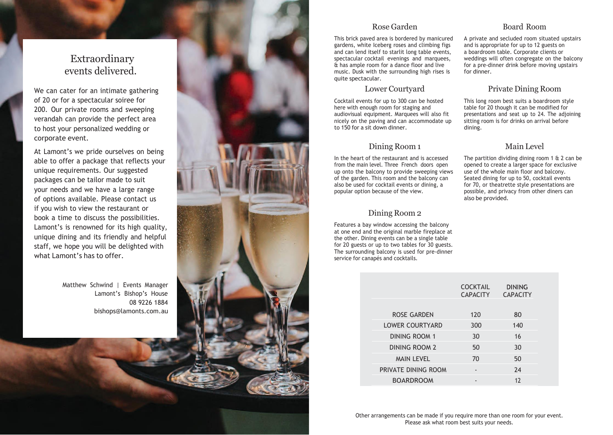# Extraordinary events delivered.

We can cater for an intimate gathering of 20 or for a spectacular soiree for 200. Our private rooms and sweeping verandah can provide the perfect area to host your personalized wedding or corporate event.

At Lamont's we pride ourselves on being able to offer a package that reflects your unique requirements. Our suggested packages can be tailor made to suit your needs and we have a large range of options available. Please contact us if you wish to view the restaurant or book a time to discuss the possibilities. Lamont's is renowned for its high quality, unique dining and its friendly and helpful staff, we hope you will be delighted with what Lamont's has to offer

> Matthew Schwind | Events Manager Lamont's Bishop's House 08 9226 1884 [bishops@lamonts.com.au](mailto:bishops@lamonts.com.au)



# Rose Garden

This brick paved area is bordered by manicured gardens, white Iceberg roses and climbing figs and can lend itself to starlit long table events, spectacular cocktail evenings and marquees, & has ample room for a dance floor and live music. Dusk with the surrounding high rises is quite spectacular.

## Lower Courtyard

Cocktail events for up to 300 can be hosted here with enough room for staging and audiovisual equipment. Marquees will also fit nicely on the paving and can accommodate up to 150 for a sit down dinner.

# Dining Room 1

In the heart of the restaurant and is accessed from the main level. Three French doors open up onto the balcony to provide sweeping views of the garden. This room and the balcony can also be used for cocktail events or dining, a popular option because of the view.

# Dining Room 2

Features a bay window accessing the balcony at one end and the original marble fireplace at the other. Dining events can be a single table for 20 guests or up to two tables for 30 guests. The surrounding balcony is used for pre-dinner service for canapés and cocktails.

|                        | <b>COCKTAIL</b><br><b>CAPACITY</b> | <b>DINING</b><br><b>CAPACITY</b> |
|------------------------|------------------------------------|----------------------------------|
|                        |                                    |                                  |
| <b>ROSE GARDEN</b>     | 120                                | 80                               |
| <b>LOWER COURTYARD</b> | 300                                | 140                              |
| <b>DINING ROOM 1</b>   | 30                                 | 16                               |
| DINING ROOM 2          | 50                                 | 30                               |
| <b>MAIN LEVEL</b>      | 70                                 | 50                               |
| PRIVATE DINING ROOM    |                                    | 24                               |
| <b>BOARDROOM</b>       |                                    | 12                               |

## Board Room

A private and secluded room situated upstairs and is appropriate for up to 12 guests on a boardroom table. Corporate clients or weddings will often congregate on the balcony for a pre-dinner drink before moving upstairs for dinner.

# Private Dining Room

This long room best suits a boardroom style table for 20 though it can be modified for presentations and seat up to 24. The adjoining sitting room is for drinks on arrival before dining.

# Main Level

The partition dividing dining room 1 & 2 can be opened to create a larger space for exclusive use of the whole main floor and balcony. Seated dining for up to 50, cocktail events for 70, or theatrette style presentations are possible, and privacy from other diners can also be provided.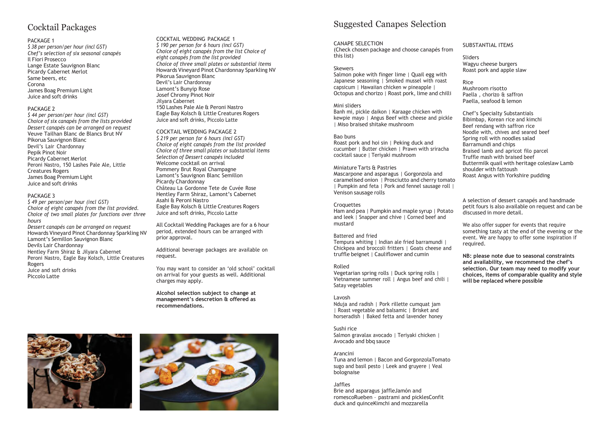# Cocktail Packages

### PACKAGE 1

*\$ 38 per person/per hour (incl GST) Chef's selection of six seasonal canapés* Il Fiori Prosecco Lange Estate Sauvignon Blanc Picardy Cabernet Merlot Same beers, etc Corona James Boag Premium Light Juice and soft drinks

### PACKAGE<sub>2</sub>

*\$ 44 per person/per hour (incl GST) Choice of six canapés from the lists provided Dessert canapés can be arranged on request* Veuve Tailhan Blanc de Blancs Brut NV Pikorua Sauvignon Blanc Devil's Lair Chardonnay Pepik Pinot Noir Picardy Cabernet Merlot Peroni Nastro, 150 Lashes Pale Ale, Little Creatures Rogers James Boag Premium Light Juice and soft drinks

### PACKAGE 3

*\$ 49 per person/per hour (incl GST) Choice of eight canapés from the list provided. Choice of two small plates for functions over three hours Dessert canapés can be arranged on request* Howards Vineyard Pinot Chardonnay Sparkling NV Lamont's Semillon Sauvignon Blanc Devils Lair Chardonnay Hentley Farm Shiraz & Jilyara Cabernet Peroni Nastro, Eagle Bay Kolsch, Little Creatures Rogers Juice and soft drinks Piccolo Latte

COCKTAIL WEDDING PACKAGE 1 *\$ 190 per person for 6 hours (incl GST) Choice of eight canapés from the list Choice of eight canapés from the list provided Choice of three small plates or substantial items* Howards Vineyard Pinot Chardonnay Sparkling NV Pikorua Sauvignon Blanc Devil's Lair Chardonnay Lamont's Bunyip Rose Josef Chromy Pinot Noir Jilyara Cabernet 150 Lashes Pale Ale & Peroni Nastro Eagle Bay Kolsch & Little Creatures Rogers Juice and soft drinks, Piccolo Latte

#### COCKTAIL WEDDING PACKAGE 2

*\$ 219 per person for 6 hours (incl GST) Choice of eight canapés from the list provided Choice of three small plates or substantial items Selection of Dessert canapés included* Welcome cocktail on arrival Pommery Brut Royal Champagne Lamont's Sauvignon Blanc Semillon Picardy Chardonnay Château La Gordonne Tete de Cuvée Rose Hentley Farm Shiraz, Lamont's Cabernet Asahi & Peroni Nastro Eagle Bay Kolsch & Little Creatures Rogers Juice and soft drinks, Piccolo Latte

All Cocktail Wedding Packages are for a 6 hour period, extended hours can be arranged with prior approval.

Additional beverage packages are available on request.

You may want to consider an 'old school' cocktail on arrival for your guests as well. Additional charges may apply.

**Alcohol selection subject to change at management's descretion & offered as recommendations.**





# Suggested Canapes Selection

### CANAPE SELECTION

(Check chosen package and choose canapés from this list)

### Skewers

Salmon poke with finger lime | Quail egg with Japanese seasoning | Smoked mussel with roast capsicum | Hawaiian chicken w pineapple | Octopus and chorizo | Roast pork, lime and chilli

### Mini sliders

Banh mi, pickle daikon | Karaage chicken with kewpie mayo | Angus Beef with cheese and pickle | Miso braised shitake mushroom

### Bao buns

Roast pork and hoi sin | Peking duck and cucumber | Butter chicken | Prawn with sriracha cocktail sauce | Teriyaki mushroom

### Miniature Tarts & Pastries

Mascarpone and asparagus | Gorgonzola and caramelised onion | Prosciutto and cherry tomato | Pumpkin and feta | Pork and fennel sausage roll | Venison sausage rolls

### **Croquettes**

Ham and pea | Pumpkin and maple syrup | Potato and leek | Snapper and chive | Corned beef and mustard

### Battered and fried

Tempura whiting | Indian ale fried barramundi | Chickpea and broccoli fritters | Goats cheese and truffle beignet | Cauliflower and cumin

### Rolled

Vegetarian spring rolls | Duck spring rolls | Vietnamese summer roll | Angus beef and chili | Satay vegetables

### Lavosh

Nduja and radish | Pork rillette cumquat jam | Roast vegetable and balsamic | Brisket and horseradish | Baked fetta and lavender honey

### Sushi rice

Salmon gravalax avocado | Teriyaki chicken | Avocado and bbq sauce

### Arancini

Tuna and lemon | Bacon and GorgonzolaTomato sugo and basil pesto | Leek and gruyere | Veal bolognaise

### Jaffles

Brie and asparagus jaffleJamón and romescoRueben – pastrami and picklesConfit duck and quinceKimchi and mozzarella

### SUBSTANTIAL ITEMS

Sliders Wagyu cheese burgers Roast pork and apple slaw

Rice Mushroom risotto Paella, chorizo & saffron Paella, seafood & lemon

Chef's Specialty Substantials Bibimbap, Korean rice and kimchi Beef rendang with saffron rice Noodle with, chives and seared beef Spring roll with noodles salad Barramundi and chips Braised lamb and apricot filo parcel Truffle mash with braised beef Buttermilk quail with heritage coleslaw Lamb shoulder with fattoush Roast Angus with Yorkshire pudding

A selection of dessert canapés and handmade petit fours is also available on request and can be discussed in more detail.

We also offer supper for events that require something tasty at the end of the evening or the event. We are happy to offer some inspiration if required.

**NB: please note due to seasonal constraints and availability, we recommend the chef's selection. Our team may need to modify your choices, items of comparable quality and style will be replaced where possible**